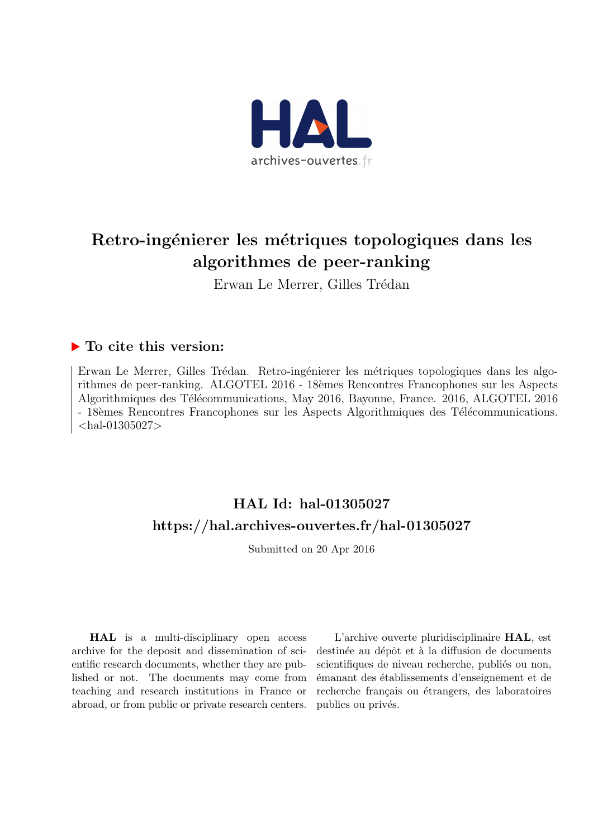

# Retro-ingénierer les métriques topologiques dans les algorithmes de peer-ranking

Erwan Le Merrer, Gilles Trédan

#### $\blacktriangleright$  To cite this version:

Erwan Le Merrer, Gilles Trédan. Retro-ingénierer les métriques topologiques dans les algorithmes de peer-ranking. ALGOTEL 2016 - 18èmes Rencontres Francophones sur les Aspects Algorithmiques des Télécommunications, May 2016, Bayonne, France. 2016, ALGOTEL 2016 - 18èmes Rencontres Francophones sur les Aspects Algorithmiques des Télécommunications.  $\langle$ hal-01305027 $>$ 

## HAL Id: hal-01305027 <https://hal.archives-ouvertes.fr/hal-01305027>

Submitted on 20 Apr 2016

HAL is a multi-disciplinary open access archive for the deposit and dissemination of scientific research documents, whether they are published or not. The documents may come from teaching and research institutions in France or abroad, or from public or private research centers.

L'archive ouverte pluridisciplinaire HAL, est destinée au dépôt et à la diffusion de documents scientifiques de niveau recherche, publiés ou non, ´emanant des ´etablissements d'enseignement et de recherche français ou étrangers, des laboratoires publics ou privés.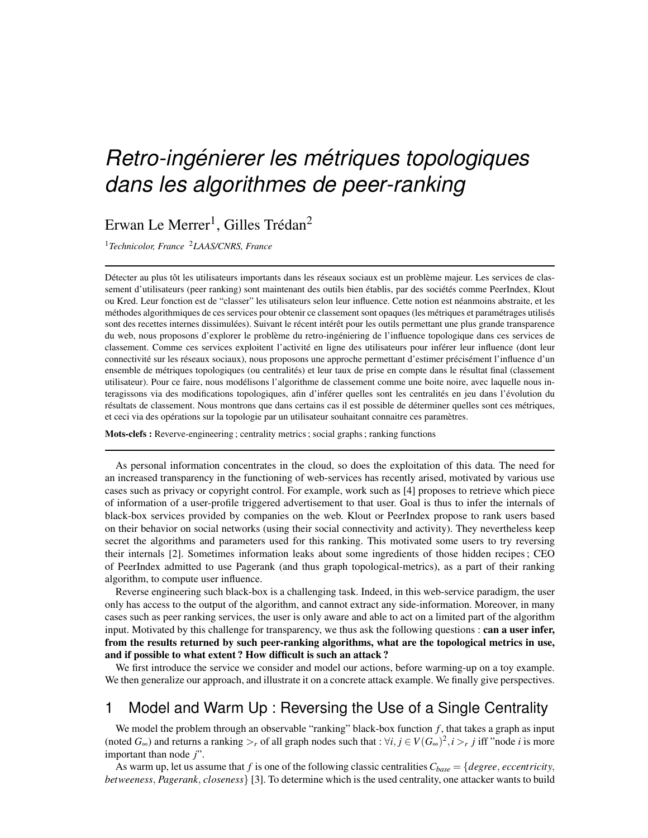# *Retro-ingénierer les métriques topologiques dans les algorithmes de peer-ranking*

Erwan Le Merrer<sup>1</sup>, Gilles Trédan<sup>2</sup>

<sup>1</sup>*Technicolor, France* <sup>2</sup>*LAAS/CNRS, France*

Détecter au plus tôt les utilisateurs importants dans les réseaux sociaux est un problème majeur. Les services de classement d'utilisateurs (peer ranking) sont maintenant des outils bien établis, par des sociétés comme PeerIndex, Klout ou Kred. Leur fonction est de "classer" les utilisateurs selon leur influence. Cette notion est neanmoins abstraite, et les ´ méthodes algorithmiques de ces services pour obtenir ce classement sont opaques (les métriques et paramétrages utilisés sont des recettes internes dissimulées). Suivant le récent intérêt pour les outils permettant une plus grande transparence du web, nous proposons d'explorer le problème du retro-ingéniering de l'influence topologique dans ces services de classement. Comme ces services exploitent l'activité en ligne des utilisateurs pour inférer leur influence (dont leur connectivité sur les réseaux sociaux), nous proposons une approche permettant d'estimer précisément l'influence d'un ensemble de métriques topologiques (ou centralités) et leur taux de prise en compte dans le résultat final (classement utilisateur). Pour ce faire, nous modelisons l'algorithme de classement comme une boite noire, avec laquelle nous in- ´ teragissons via des modifications topologiques, afin d'inférer quelles sont les centralités en jeu dans l'évolution du résultats de classement. Nous montrons que dans certains cas il est possible de déterminer quelles sont ces métriques, et ceci via des opérations sur la topologie par un utilisateur souhaitant connaitre ces paramètres.

Mots-clefs : Reverve-engineering ; centrality metrics ; social graphs ; ranking functions

As personal information concentrates in the cloud, so does the exploitation of this data. The need for an increased transparency in the functioning of web-services has recently arised, motivated by various use cases such as privacy or copyright control. For example, work such as [4] proposes to retrieve which piece of information of a user-profile triggered advertisement to that user. Goal is thus to infer the internals of black-box services provided by companies on the web. Klout or PeerIndex propose to rank users based on their behavior on social networks (using their social connectivity and activity). They nevertheless keep secret the algorithms and parameters used for this ranking. This motivated some users to try reversing their internals [2]. Sometimes information leaks about some ingredients of those hidden recipes ; CEO of PeerIndex admitted to use Pagerank (and thus graph topological-metrics), as a part of their ranking algorithm, to compute user influence.

Reverse engineering such black-box is a challenging task. Indeed, in this web-service paradigm, the user only has access to the output of the algorithm, and cannot extract any side-information. Moreover, in many cases such as peer ranking services, the user is only aware and able to act on a limited part of the algorithm input. Motivated by this challenge for transparency, we thus ask the following questions : can a user infer, from the results returned by such peer-ranking algorithms, what are the topological metrics in use, and if possible to what extent ? How difficult is such an attack ?

We first introduce the service we consider and model our actions, before warming-up on a toy example. We then generalize our approach, and illustrate it on a concrete attack example. We finally give perspectives.

### 1 Model and Warm Up : Reversing the Use of a Single Centrality

We model the problem through an observable "ranking" black-box function  $f$ , that takes a graph as input (noted  $G_{\infty}$ ) and returns a ranking  $>_r$  of all graph nodes such that :  $\forall i, j \in V(G_{\infty})^2, i >_r j$  iff "node *i* is more important than node *j*".

As warm up, let us assume that *f* is one of the following classic centralities  $C_{base} = \{degree, eccentricity,$ *betweeness*, *Pagerank*, *closeness*} [3]. To determine which is the used centrality, one attacker wants to build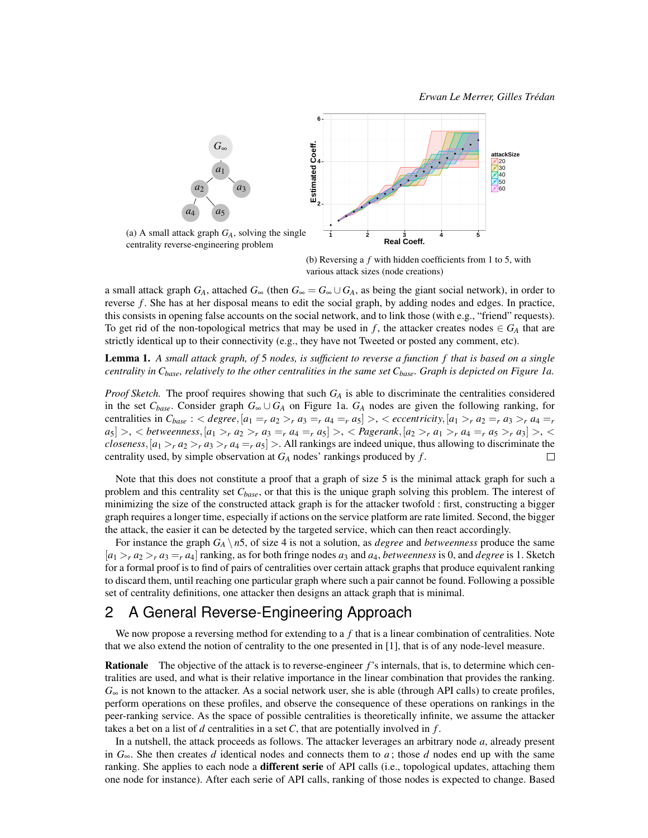

(b) Reversing a *f* with hidden coefficients from 1 to 5, with various attack sizes (node creations)

a small attack graph  $G_A$ , attached  $G_\infty$  (then  $G_\infty = G_\infty \cup G_A$ , as being the giant social network), in order to reverse *f* . She has at her disposal means to edit the social graph, by adding nodes and edges. In practice, this consists in opening false accounts on the social network, and to link those (with e.g., "friend" requests). To get rid of the non-topological metrics that may be used in *f*, the attacker creates nodes  $\in G_A$  that are strictly identical up to their connectivity (e.g., they have not Tweeted or posted any comment, etc).

#### Lemma 1. *A small attack graph, of* 5 *nodes, is sufficient to reverse a function f that is based on a single centrality in Cbase, relatively to the other centralities in the same set Cbase. Graph is depicted on Figure 1a.*

*Proof Sketch.* The proof requires showing that such *G<sup>A</sup>* is able to discriminate the centralities considered in the set  $C_{base}$ . Consider graph  $G_{\infty} \cup G_A$  on Figure 1a.  $G_A$  nodes are given the following ranking, for centralities in  $C_{base}$ : < degree,  $[a_1 =_r a_2 >_r a_3 =_r a_4 =_r a_5] >_r$  < eccentricity,  $[a_1 >_r a_2 =_r a_3 >_r a_4 =_r a_5$  $|a_5| > 0$ ,  $\lt$  betweenness,  $|a_1 >_r a_2 >_r a_3 =_r a_4 =_r a_5$   $\lt$   $\lt$  Pagerank,  $|a_2 >_r a_1 >_r a_4 =_r a_5 >_r a_3$   $\lt$ *closeness*,  $[a_1 > r a_2 > r a_3 > r a_4 = r a_5] >$ . All rankings are indeed unique, thus allowing to discriminate the centrality used, by simple observation at *G<sup>A</sup>* nodes' rankings produced by *f* .  $\Box$ 

Note that this does not constitute a proof that a graph of size 5 is the minimal attack graph for such a problem and this centrality set *Cbase*, or that this is the unique graph solving this problem. The interest of minimizing the size of the constructed attack graph is for the attacker twofold : first, constructing a bigger graph requires a longer time, especially if actions on the service platform are rate limited. Second, the bigger the attack, the easier it can be detected by the targeted service, which can then react accordingly.

For instance the graph  $G_A \setminus n5$ , of size 4 is not a solution, as *degree* and *betweenness* produce the same  $[a_1 > r a_2 > r a_3 = r a_4]$  ranking, as for both fringe nodes  $a_3$  and  $a_4$ , *betweenness* is 0, and *degree* is 1. Sketch for a formal proof is to find of pairs of centralities over certain attack graphs that produce equivalent ranking to discard them, until reaching one particular graph where such a pair cannot be found. Following a possible set of centrality definitions, one attacker then designs an attack graph that is minimal.

#### 2 A General Reverse-Engineering Approach

We now propose a reversing method for extending to a *f* that is a linear combination of centralities. Note that we also extend the notion of centrality to the one presented in [1], that is of any node-level measure.

Rationale The objective of the attack is to reverse-engineer *f*'s internals, that is, to determine which centralities are used, and what is their relative importance in the linear combination that provides the ranking.  $G_{\infty}$  is not known to the attacker. As a social network user, she is able (through API calls) to create profiles, perform operations on these profiles, and observe the consequence of these operations on rankings in the peer-ranking service. As the space of possible centralities is theoretically infinite, we assume the attacker takes a bet on a list of *d* centralities in a set *C*, that are potentially involved in *f* .

In a nutshell, the attack proceeds as follows. The attacker leverages an arbitrary node *a*, already present in *G*∞. She then creates *d* identical nodes and connects them to *a* ; those *d* nodes end up with the same ranking. She applies to each node a **different serie** of API calls (i.e., topological updates, attaching them one node for instance). After each serie of API calls, ranking of those nodes is expected to change. Based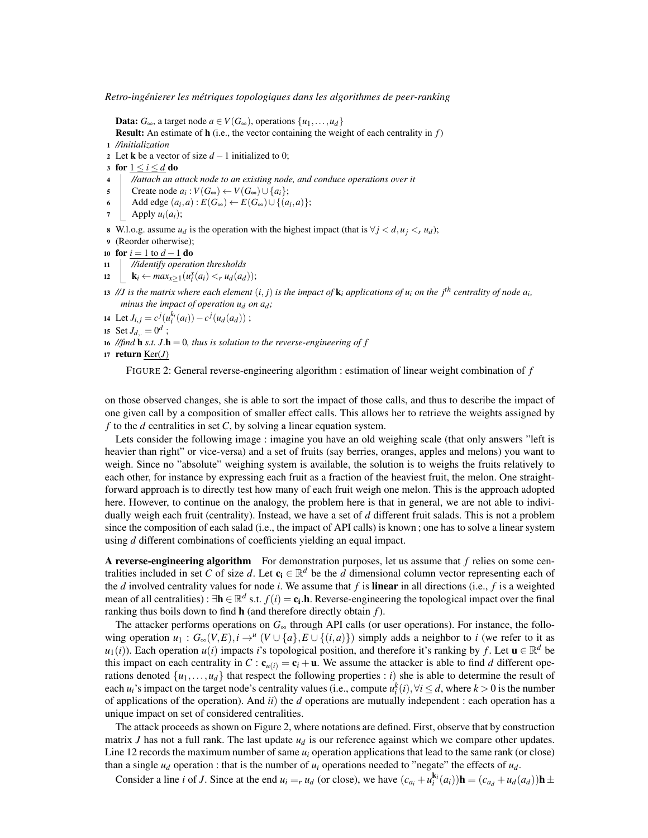**Data:**  $G_{\infty}$ , a target node *a* ∈ *V*( $G_{\infty}$ ), operations {*u*<sub>1</sub>,...,*u*<sub>*d*</sub>} Result: An estimate of h (i.e., the vector containing the weight of each centrality in *f*) <sup>1</sup> *//initialization* 2 Let **k** be a vector of size  $d-1$  initialized to 0; 3 for  $1 \le i \le d$  do <sup>4</sup> *//attach an attack node to an existing node, and conduce operations over it*  $\mathcal{S} \quad \left| \quad \text{Create node } a_i : V(G_\infty) \leftarrow V(G_\infty) \cup \{a_i\}; \right.$ 6 | Add edge  $(a_i, a) : E(G_{\infty}) \leftarrow E(G_{\infty}) \cup \{(a_i, a)\};$  $\tau$  | Apply  $u_i(a_i)$ ; 8 W.l.o.g. assume  $u_d$  is the operation with the highest impact (that is  $\forall j \lt d, u_j \lt r u_d$ ); <sup>9</sup> (Reorder otherwise); <sup>10</sup> for *i* = 1 to *d* −1 do <sup>11</sup> *//identify operation thresholds* 12  $\bigcup_{i=1}^{\infty} \mathbf{k}_i \leftarrow \max_{x \geq 1} (u_i^x(a_i) < r u_d(a_d));$ 13 //J is the matrix where each element  $(i, j)$  is the impact of  $\bf{k}_i$  applications of  $u_i$  on the  $j^{th}$  centrality of node  $a_i$ , *minus the impact of operation*  $u_d$  *on*  $a_d$ *;* 

14 Let  $J_{i,j} = c^j(u_i^{k_i}(a_i)) - c^j(u_d(a_d))$ ;

15 Set  $J_{d,1} = 0^d$ ;

16 //find **h** *s.t.*  $J \cdot \mathbf{h} = 0$ *, thus is solution to the reverse-engineering of f* 

```
17 return Ker(J)
```
FIGURE 2: General reverse-engineering algorithm : estimation of linear weight combination of *f*

on those observed changes, she is able to sort the impact of those calls, and thus to describe the impact of one given call by a composition of smaller effect calls. This allows her to retrieve the weights assigned by *f* to the *d* centralities in set *C*, by solving a linear equation system.

Lets consider the following image : imagine you have an old weighing scale (that only answers "left is heavier than right" or vice-versa) and a set of fruits (say berries, oranges, apples and melons) you want to weigh. Since no "absolute" weighing system is available, the solution is to weighs the fruits relatively to each other, for instance by expressing each fruit as a fraction of the heaviest fruit, the melon. One straightforward approach is to directly test how many of each fruit weigh one melon. This is the approach adopted here. However, to continue on the analogy, the problem here is that in general, we are not able to individually weigh each fruit (centrality). Instead, we have a set of *d* different fruit salads. This is not a problem since the composition of each salad (i.e., the impact of API calls) is known ; one has to solve a linear system using *d* different combinations of coefficients yielding an equal impact.

A reverse-engineering algorithm For demonstration purposes, let us assume that *f* relies on some centralities included in set *C* of size *d*. Let  $c_i \in \mathbb{R}^d$  be the *d* dimensional column vector representing each of the *d* involved centrality values for node *i*. We assume that *f* is linear in all directions (i.e., *f* is a weighted mean of all centralities) :  $\exists h \in \mathbb{R}^d$  s.t.  $f(i) = c_i \cdot h$ . Reverse-engineering the topological impact over the final ranking thus boils down to find h (and therefore directly obtain *f*).

The attacker performs operations on *G*<sup>∞</sup> through API calls (or user operations). For instance, the following operation  $u_1: G_\infty(V, E), i \to^u (V \cup \{a\}, E \cup \{(i, a)\})$  simply adds a neighbor to *i* (we refer to it as  $u_1(i)$ ). Each operation  $u(i)$  impacts *i*'s topological position, and therefore it's ranking by *f*. Let  $u \in \mathbb{R}^d$  be this impact on each centrality in  $C: \mathbf{c}_{u(i)} = \mathbf{c}_i + \mathbf{u}$ . We assume the attacker is able to find *d* different operations denoted  $\{u_1, \ldots, u_d\}$  that respect the following properties : *i*) she is able to determine the result of each *u<sub>i</sub>*'s impact on the target node's centrality values (i.e., compute  $u_i^k(i)$ ,  $\forall i \le d$ , where  $k > 0$  is the number of applications of the operation). And *ii*) the *d* operations are mutually independent : each operation has a unique impact on set of considered centralities.

The attack proceeds as shown on Figure 2, where notations are defined. First, observe that by construction matrix *J* has not a full rank. The last update  $u_d$  is our reference against which we compare other updates. Line 12 records the maximum number of same  $u_i$  operation applications that lead to the same rank (or close) than a single  $u_d$  operation : that is the number of  $u_i$  operations needed to "negate" the effects of  $u_d$ .

Consider a line *i* of *J*. Since at the end  $u_i =_r u_d$  (or close), we have  $(c_{a_i} + u_i^{k_i}(a_i))\mathbf{h} = (c_{a_d} + u_d(a_d))\mathbf{h} \pm$